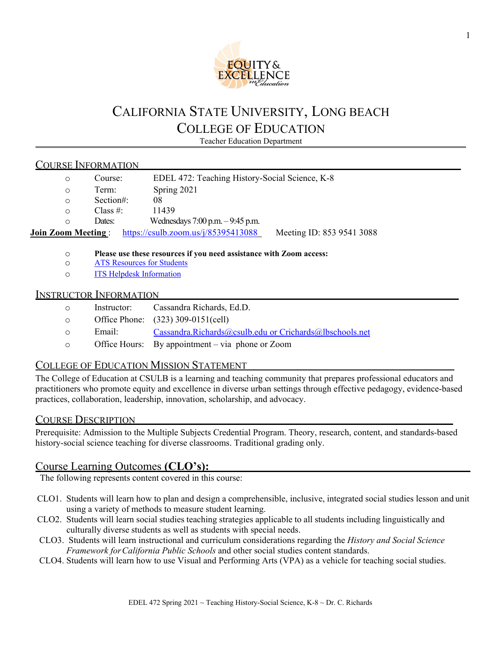

# CALIFORNIA STATE UNIVERSITY, LONG BEACH COLLEGE OF EDUCATION

Teacher Education Department

# COURSE INFORMATION

| $\circ$                                                       | Course:     | EDEL 472: Teaching History-Social Science, K-8 |  |
|---------------------------------------------------------------|-------------|------------------------------------------------|--|
| $\circ$                                                       | Term:       | Spring 2021                                    |  |
| $\circ$                                                       | Section#:   | 08                                             |  |
| $\circ$                                                       | Class $#$ : | 11439                                          |  |
| ∩                                                             | Dates:      | Wednesdays $7:00$ p.m. $-9:45$ p.m.            |  |
| https://csulb.zoom.us/ $i/85395413088$<br>Join Zoom Meeting : |             | Meeting ID: 853 9541 3088                      |  |
|                                                               |             |                                                |  |

# o **Please use these resources if you need assistance with Zoom access:**

- **[ATS Resources for Students](https://www.csulb.edu/academic-technology-services/academic-technology-resources-for-students)**
- o [ITS Helpdesk Information](https://csulb.teamdynamix.com/TDClient/1993/Portal/home/)

# INSTRUCTOR INFORMATION

- o Instructor: Cassandra Richards, Ed.D.
- o Office Phone: (323) 309-0151(cell)
- o Email: [Cassandra.Richards@csulb.edu](mailto:Cassandra.Richards@csulb.edu) or Crichards@lbschools.net
- o Office Hours: By appointment via phone or Zoom

# COLLEGE OF EDUCATION MISSION STATEMENT

The College of Education at CSULB is a learning and teaching community that prepares professional educators and practitioners who promote equity and excellence in diverse urban settings through effective pedagogy, evidence-based practices, collaboration, leadership, innovation, scholarship, and advocacy.

# COURSE DESCRIPTION

Prerequisite: Admission to the Multiple Subjects Credential Program. Theory, research, content, and standards-based history-social science teaching for diverse classrooms. Traditional grading only.

# Course Learning Outcomes **(CLO's):**

The following represents content covered in this course:

- CLO1. Students will learn how to plan and design a comprehensible, inclusive, integrated social studies lesson and unit using a variety of methods to measure student learning.
- CLO2. Students will learn social studies teaching strategies applicable to all students including linguistically and culturally diverse students as well as students with special needs.
- CLO3. Students will learn instructional and curriculum considerations regarding the *History and Social Science Framework forCalifornia Public Schools* and other social studies content standards.
- CLO4. Students will learn how to use Visual and Performing Arts (VPA) as a vehicle for teaching social studies.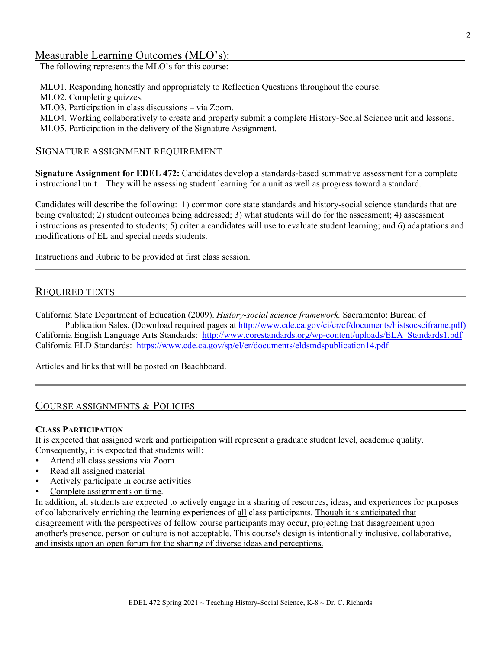# Measurable Learning Outcomes (MLO's):

The following represents the MLO's for this course:

MLO1. Responding honestly and appropriately to Reflection Questions throughout the course.

MLO2. Completing quizzes.

MLO3. Participation in class discussions – via Zoom.

MLO4. Working collaboratively to create and properly submit a complete History-Social Science unit and lessons.

MLO5. Participation in the delivery of the Signature Assignment.

#### SIGNATURE ASSIGNMENT REQUIREMENT

**Signature Assignment for EDEL 472:** Candidates develop a standards-based summative assessment for a complete instructional unit. They will be assessing student learning for a unit as well as progress toward a standard.

Candidates will describe the following: 1) common core state standards and history-social science standards that are being evaluated; 2) student outcomes being addressed; 3) what students will do for the assessment; 4) assessment instructions as presented to students; 5) criteria candidates will use to evaluate student learning; and 6) adaptations and modifications of EL and special needs students.

Instructions and Rubric to be provided at first class session.

# REQUIRED TEXTS

California State Department of Education (2009). *History-social science framework.* Sacramento: Bureau of

Publication Sales. (Download required pages at [http://www.cde.ca.gov/ci/cr/cf/documents/histsocsciframe.pdf\)](http://www.cde.ca.gov/ci/cr/cf/documents/histsocsciframe.pdf)) California English Language Arts Standards: [http://www.corestandards.org/wp-content/uploads/ELA\\_Standards1.pdf](http://www.corestandards.org/wp-content/uploads/ELA_Standards1.pdf) California ELD Standards: <https://www.cde.ca.gov/sp/el/er/documents/eldstndspublication14.pdf>

Articles and links that will be posted on Beachboard.

# COURSE ASSIGNMENTS & POLICIES

#### **CLASS PARTICIPATION**

It is expected that assigned work and participation will represent a graduate student level, academic quality. Consequently, it is expected that students will:

- Attend all class sessions via Zoom
- Read all assigned material
- Actively participate in course activities
- Complete assignments on time.

In addition, all students are expected to actively engage in a sharing of resources, ideas, and experiences for purposes of collaboratively enriching the learning experiences of all class participants. Though it is anticipated that disagreement with the perspectives of fellow course participants may occur, projecting that disagreement upon another's presence, person or culture is not acceptable. This course's design is intentionally inclusive, collaborative, and insists upon an open forum for the sharing of diverse ideas and perceptions.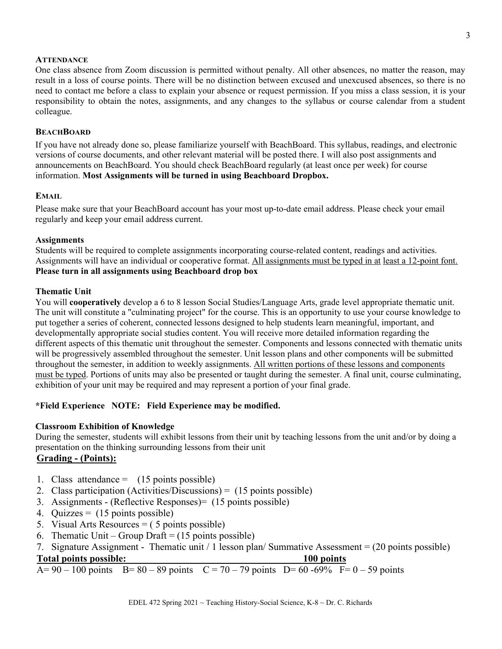#### **ATTENDANCE**

One class absence from Zoom discussion is permitted without penalty. All other absences, no matter the reason, may result in a loss of course points. There will be no distinction between excused and unexcused absences, so there is no need to contact me before a class to explain your absence or request permission. If you miss a class session, it is your responsibility to obtain the notes, assignments, and any changes to the syllabus or course calendar from a student colleague.

#### **BEACHBOARD**

If you have not already done so, please familiarize yourself with BeachBoard. This syllabus, readings, and electronic versions of course documents, and other relevant material will be posted there. I will also post assignments and announcements on BeachBoard. You should check BeachBoard regularly (at least once per week) for course information. **Most Assignments will be turned in using Beachboard Dropbox.**

#### **EMAIL**

Please make sure that your BeachBoard account has your most up-to-date email address. Please check your email regularly and keep your email address current.

#### **Assignments**

Students will be required to complete assignments incorporating course-related content, readings and activities. Assignments will have an individual or cooperative format. All assignments must be typed in at least a 12-point font. **Please turn in all assignments using Beachboard drop box**

#### **Thematic Unit**

You will **cooperatively** develop a 6 to 8 lesson Social Studies/Language Arts, grade level appropriate thematic unit. The unit will constitute a "culminating project" for the course. This is an opportunity to use your course knowledge to put together a series of coherent, connected lessons designed to help students learn meaningful, important, and developmentally appropriate social studies content. You will receive more detailed information regarding the different aspects of this thematic unit throughout the semester. Components and lessons connected with thematic units will be progressively assembled throughout the semester. Unit lesson plans and other components will be submitted throughout the semester, in addition to weekly assignments. All written portions of these lessons and components must be typed. Portions of units may also be presented or taught during the semester. A final unit, course culminating, exhibition of your unit may be required and may represent a portion of your final grade.

### **\*Field Experience NOTE: Field Experience may be modified.**

#### **Classroom Exhibition of Knowledge**

During the semester, students will exhibit lessons from their unit by teaching lessons from the unit and/or by doing a presentation on the thinking surrounding lessons from their unit

# **Grading - (Points):**

- 1. Class attendance  $=$  (15 points possible)
- 2. Class participation (Activities/Discussions) = (15 points possible)
- 3. Assignments (Reflective Responses)= (15 points possible)
- 4. Quizzes =  $(15 \text{ points possible})$
- 5. Visual Arts Resources  $= (5 \text{ points possible})$
- 6. Thematic Unit Group Draft =  $(15 \text{ points possible})$
- 7. Signature Assignment Thematic unit / 1 lesson plan/ Summative Assessment = (20 points possible)

#### **Total points possible: 100 points**

 $A= 90 - 100$  points  $B= 80 - 89$  points  $C = 70 - 79$  points  $D= 60 - 69\%$   $F= 0 - 59$  points